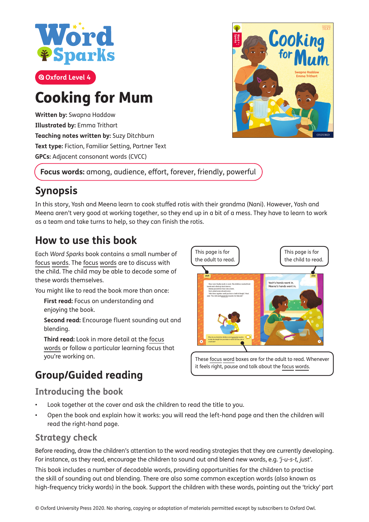

# Cooking for Mum

**Written by:** Swapna Haddow **Illustrated by:** Emma Trithart **Teaching notes written by:** Suzy Ditchburn **Text type:** Fiction, Familiar Setting, Partner Text **GPCs:** Adjacent consonant words (CVCC)



**Focus words:** among, audience, effort, forever, friendly, powerful

# **Synopsis**

In this story, Yash and Meena learn to cook stuffed rotis with their grandma (Nani). However, Yash and Meena aren't very good at working together, so they end up in a bit of a mess. They have to learn to work as a team and take turns to help, so they can f inish the rotis.

### **How to use this book**

Each *Word Sparks* book contains a small number of focus words. The focus words are to discuss with the child. The child may be able to decode some of these words themselves.

You might like to read the book more than once:

**First read:** Focus on understanding and enjoying the book.

**Second read:** Encourage fluent sounding out and blending.

**Third read:** Look in more detail at the focus words or follow a particular learning focus that you're working on.

# **Group/Guided reading**

#### **Introducing the book**

- Look together at the cover and ask the children to read the title to you.
- Open the book and explain how it works: you will read the left-hand page and then the children will read the right-hand page.

#### **Strategy check**

Before reading, draw the children's attention to the word reading strategies that they are currently developing. For instance, as they read, encourage the children to sound out and blend new words, e.g. *'j-u-s-t, just'*. This book includes a number of decodable words, providing opportunities for the children to practise the skill of sounding out and blending. There are also some common exception words (also known as high-frequency tricky words) in the book. Support the children with these words, pointing out the 'tricky' part



These focus word boxes are for the adult to read. Whenever it feels right, pause and talk about the focus words.